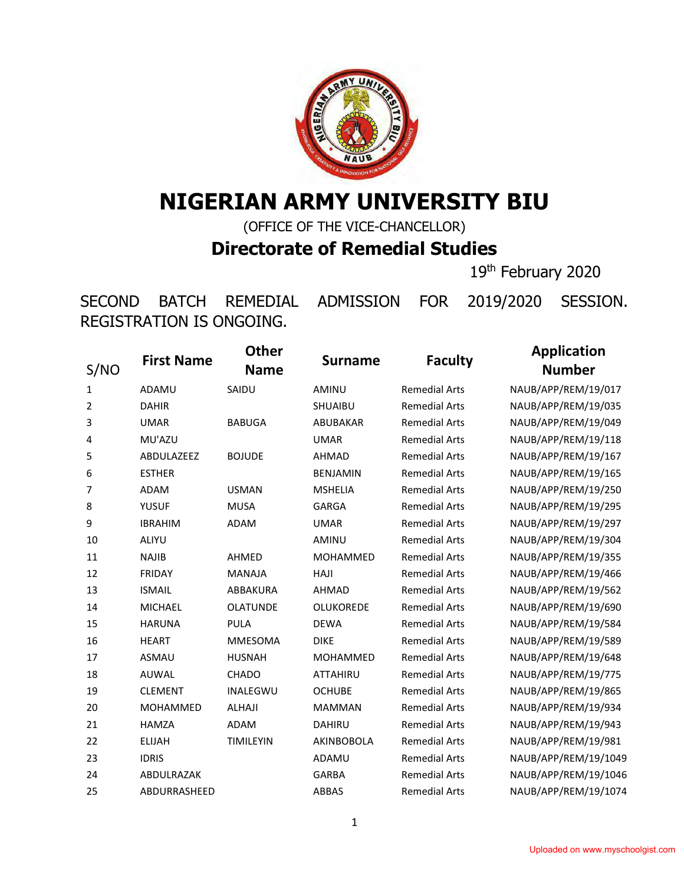

## **NIGERIAN ARMY UNIVERSITY BIU**

(OFFICE OF THE VICE-CHANCELLOR) **Directorate of Remedial Studies**

th February 2020

SECOND BATCH REMEDIAL ADMISSION FOR 2019/2020 SESSION. REGISTRATION IS ONGOING.

| S/NO         | <b>First Name</b> | <b>Other</b><br><b>Name</b> | <b>Surname</b>   | <b>Faculty</b>       | <b>Application</b><br><b>Number</b> |
|--------------|-------------------|-----------------------------|------------------|----------------------|-------------------------------------|
| $\mathbf{1}$ | ADAMU             | SAIDU                       | <b>AMINU</b>     | <b>Remedial Arts</b> | NAUB/APP/REM/19/017                 |
| 2            | <b>DAHIR</b>      |                             | <b>SHUAIBU</b>   | <b>Remedial Arts</b> | NAUB/APP/REM/19/035                 |
| 3            | <b>UMAR</b>       | <b>BABUGA</b>               | ABUBAKAR         | <b>Remedial Arts</b> | NAUB/APP/REM/19/049                 |
| 4            | MU'AZU            |                             | <b>UMAR</b>      | <b>Remedial Arts</b> | NAUB/APP/REM/19/118                 |
| 5            | ABDULAZEEZ        | <b>BOJUDE</b>               | <b>AHMAD</b>     | <b>Remedial Arts</b> | NAUB/APP/REM/19/167                 |
| 6            | <b>ESTHER</b>     |                             | <b>BENJAMIN</b>  | <b>Remedial Arts</b> | NAUB/APP/REM/19/165                 |
| 7            | <b>ADAM</b>       | <b>USMAN</b>                | <b>MSHELIA</b>   | <b>Remedial Arts</b> | NAUB/APP/REM/19/250                 |
| 8            | <b>YUSUF</b>      | <b>MUSA</b>                 | <b>GARGA</b>     | <b>Remedial Arts</b> | NAUB/APP/REM/19/295                 |
| 9            | <b>IBRAHIM</b>    | <b>ADAM</b>                 | <b>UMAR</b>      | <b>Remedial Arts</b> | NAUB/APP/REM/19/297                 |
| 10           | ALIYU             |                             | AMINU            | <b>Remedial Arts</b> | NAUB/APP/REM/19/304                 |
| 11           | <b>NAJIB</b>      | AHMED                       | <b>MOHAMMED</b>  | <b>Remedial Arts</b> | NAUB/APP/REM/19/355                 |
| 12           | <b>FRIDAY</b>     | <b>MANAJA</b>               | HAJI             | <b>Remedial Arts</b> | NAUB/APP/REM/19/466                 |
| 13           | <b>ISMAIL</b>     | <b>ABBAKURA</b>             | <b>AHMAD</b>     | <b>Remedial Arts</b> | NAUB/APP/REM/19/562                 |
| 14           | <b>MICHAEL</b>    | <b>OLATUNDE</b>             | <b>OLUKOREDE</b> | <b>Remedial Arts</b> | NAUB/APP/REM/19/690                 |
| 15           | <b>HARUNA</b>     | <b>PULA</b>                 | <b>DEWA</b>      | <b>Remedial Arts</b> | NAUB/APP/REM/19/584                 |
| 16           | <b>HEART</b>      | <b>MMESOMA</b>              | <b>DIKE</b>      | <b>Remedial Arts</b> | NAUB/APP/REM/19/589                 |
| 17           | <b>ASMAU</b>      | <b>HUSNAH</b>               | <b>MOHAMMED</b>  | <b>Remedial Arts</b> | NAUB/APP/REM/19/648                 |
| 18           | AUWAL             | <b>CHADO</b>                | <b>ATTAHIRU</b>  | <b>Remedial Arts</b> | NAUB/APP/REM/19/775                 |
| 19           | <b>CLEMENT</b>    | <b>INALEGWU</b>             | <b>OCHUBE</b>    | <b>Remedial Arts</b> | NAUB/APP/REM/19/865                 |
| 20           | <b>MOHAMMED</b>   | <b>ALHAJI</b>               | <b>MAMMAN</b>    | <b>Remedial Arts</b> | NAUB/APP/REM/19/934                 |
| 21           | <b>HAMZA</b>      | ADAM                        | <b>DAHIRU</b>    | <b>Remedial Arts</b> | NAUB/APP/REM/19/943                 |
| 22           | <b>ELIJAH</b>     | <b>TIMILEYIN</b>            | AKINBOBOLA       | <b>Remedial Arts</b> | NAUB/APP/REM/19/981                 |
| 23           | <b>IDRIS</b>      |                             | ADAMU            | <b>Remedial Arts</b> | NAUB/APP/REM/19/1049                |
| 24           | ABDULRAZAK        |                             | <b>GARBA</b>     | <b>Remedial Arts</b> | NAUB/APP/REM/19/1046                |
| 25           | ABDURRASHEED      |                             | ABBAS            | <b>Remedial Arts</b> | NAUB/APP/REM/19/1074                |
|              |                   |                             |                  |                      |                                     |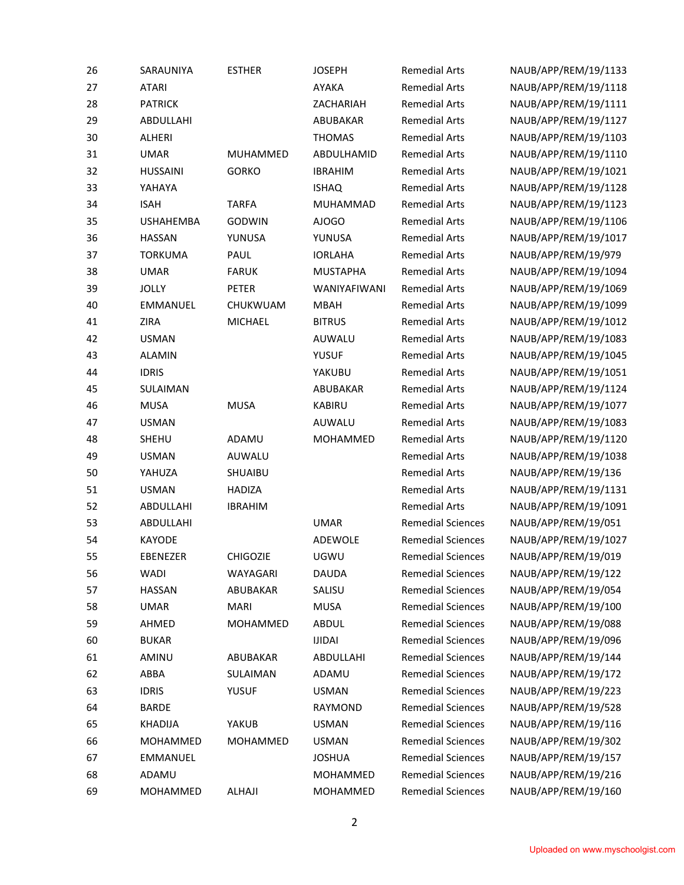| 26 | SARAUNIYA        | <b>ESTHER</b>   | <b>JOSEPH</b>   | <b>Remedial Arts</b>     | NAUB/APP/REM/19/1133 |
|----|------------------|-----------------|-----------------|--------------------------|----------------------|
| 27 | <b>ATARI</b>     |                 | AYAKA           | <b>Remedial Arts</b>     | NAUB/APP/REM/19/1118 |
| 28 | <b>PATRICK</b>   |                 | ZACHARIAH       | <b>Remedial Arts</b>     | NAUB/APP/REM/19/1111 |
| 29 | ABDULLAHI        |                 | ABUBAKAR        | <b>Remedial Arts</b>     | NAUB/APP/REM/19/1127 |
| 30 | ALHERI           |                 | <b>THOMAS</b>   | <b>Remedial Arts</b>     | NAUB/APP/REM/19/1103 |
| 31 | <b>UMAR</b>      | MUHAMMED        | ABDULHAMID      | <b>Remedial Arts</b>     | NAUB/APP/REM/19/1110 |
| 32 | <b>HUSSAINI</b>  | <b>GORKO</b>    | <b>IBRAHIM</b>  | <b>Remedial Arts</b>     | NAUB/APP/REM/19/1021 |
| 33 | YAHAYA           |                 | <b>ISHAQ</b>    | <b>Remedial Arts</b>     | NAUB/APP/REM/19/1128 |
| 34 | <b>ISAH</b>      | <b>TARFA</b>    | <b>MUHAMMAD</b> | <b>Remedial Arts</b>     | NAUB/APP/REM/19/1123 |
| 35 | <b>USHAHEMBA</b> | GODWIN          | AJOGO           | <b>Remedial Arts</b>     | NAUB/APP/REM/19/1106 |
| 36 | <b>HASSAN</b>    | YUNUSA          | YUNUSA          | <b>Remedial Arts</b>     | NAUB/APP/REM/19/1017 |
| 37 | <b>TORKUMA</b>   | PAUL            | <b>IORLAHA</b>  | <b>Remedial Arts</b>     | NAUB/APP/REM/19/979  |
| 38 | <b>UMAR</b>      | <b>FARUK</b>    | <b>MUSTAPHA</b> | <b>Remedial Arts</b>     | NAUB/APP/REM/19/1094 |
| 39 | <b>JOLLY</b>     | PETER           | WANIYAFIWANI    | <b>Remedial Arts</b>     | NAUB/APP/REM/19/1069 |
| 40 | EMMANUEL         | CHUKWUAM        | <b>MBAH</b>     | <b>Remedial Arts</b>     | NAUB/APP/REM/19/1099 |
| 41 | ZIRA             | <b>MICHAEL</b>  | <b>BITRUS</b>   | <b>Remedial Arts</b>     | NAUB/APP/REM/19/1012 |
| 42 | <b>USMAN</b>     |                 | AUWALU          | <b>Remedial Arts</b>     | NAUB/APP/REM/19/1083 |
| 43 | <b>ALAMIN</b>    |                 | <b>YUSUF</b>    | <b>Remedial Arts</b>     | NAUB/APP/REM/19/1045 |
| 44 | <b>IDRIS</b>     |                 | YAKUBU          | <b>Remedial Arts</b>     | NAUB/APP/REM/19/1051 |
| 45 | SULAIMAN         |                 | ABUBAKAR        | <b>Remedial Arts</b>     | NAUB/APP/REM/19/1124 |
| 46 | <b>MUSA</b>      | <b>MUSA</b>     | KABIRU          | <b>Remedial Arts</b>     | NAUB/APP/REM/19/1077 |
| 47 | <b>USMAN</b>     |                 | AUWALU          | <b>Remedial Arts</b>     | NAUB/APP/REM/19/1083 |
| 48 | SHEHU            | ADAMU           | MOHAMMED        | <b>Remedial Arts</b>     | NAUB/APP/REM/19/1120 |
| 49 | <b>USMAN</b>     | AUWALU          |                 | <b>Remedial Arts</b>     | NAUB/APP/REM/19/1038 |
| 50 | YAHUZA           | SHUAIBU         |                 | <b>Remedial Arts</b>     | NAUB/APP/REM/19/136  |
| 51 | <b>USMAN</b>     | <b>HADIZA</b>   |                 | <b>Remedial Arts</b>     | NAUB/APP/REM/19/1131 |
| 52 | ABDULLAHI        | <b>IBRAHIM</b>  |                 | <b>Remedial Arts</b>     | NAUB/APP/REM/19/1091 |
| 53 | ABDULLAHI        |                 | <b>UMAR</b>     | <b>Remedial Sciences</b> | NAUB/APP/REM/19/051  |
| 54 | KAYODE           |                 | ADEWOLE         | <b>Remedial Sciences</b> | NAUB/APP/REM/19/1027 |
| 55 | EBENEZER         | <b>CHIGOZIE</b> | UGWU            | <b>Remedial Sciences</b> | NAUB/APP/REM/19/019  |
| 56 | WADI             | WAYAGARI        | DAUDA           | <b>Remedial Sciences</b> | NAUB/APP/REM/19/122  |
| 57 | <b>HASSAN</b>    | ABUBAKAR        | SALISU          | <b>Remedial Sciences</b> | NAUB/APP/REM/19/054  |
| 58 | <b>UMAR</b>      | <b>MARI</b>     | <b>MUSA</b>     | <b>Remedial Sciences</b> | NAUB/APP/REM/19/100  |
| 59 | AHMED            | MOHAMMED        | ABDUL           | <b>Remedial Sciences</b> | NAUB/APP/REM/19/088  |
| 60 | <b>BUKAR</b>     |                 | <b>IJIDAI</b>   | <b>Remedial Sciences</b> | NAUB/APP/REM/19/096  |
| 61 | AMINU            | ABUBAKAR        | ABDULLAHI       | <b>Remedial Sciences</b> | NAUB/APP/REM/19/144  |
| 62 | ABBA             | SULAIMAN        | ADAMU           | <b>Remedial Sciences</b> | NAUB/APP/REM/19/172  |
| 63 | <b>IDRIS</b>     | <b>YUSUF</b>    | <b>USMAN</b>    | <b>Remedial Sciences</b> | NAUB/APP/REM/19/223  |
| 64 | <b>BARDE</b>     |                 | RAYMOND         | <b>Remedial Sciences</b> | NAUB/APP/REM/19/528  |
| 65 | <b>KHADIJA</b>   | YAKUB           | <b>USMAN</b>    | <b>Remedial Sciences</b> | NAUB/APP/REM/19/116  |
| 66 | MOHAMMED         | MOHAMMED        | <b>USMAN</b>    | <b>Remedial Sciences</b> | NAUB/APP/REM/19/302  |
| 67 | EMMANUEL         |                 | <b>JOSHUA</b>   | <b>Remedial Sciences</b> | NAUB/APP/REM/19/157  |
| 68 | ADAMU            |                 | MOHAMMED        | <b>Remedial Sciences</b> | NAUB/APP/REM/19/216  |
| 69 | MOHAMMED         | ALHAJI          | MOHAMMED        | <b>Remedial Sciences</b> | NAUB/APP/REM/19/160  |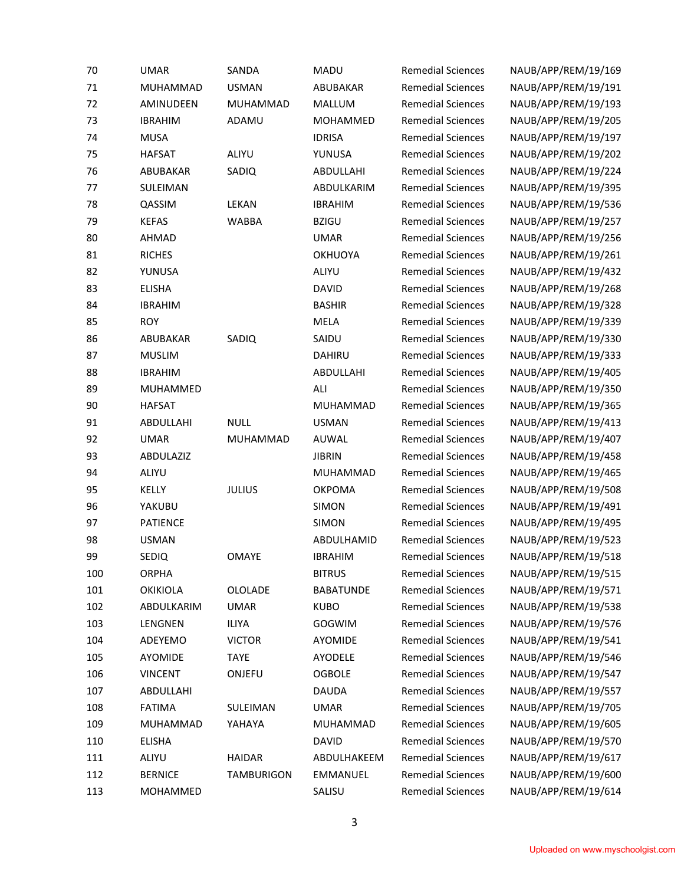| 70     | <b>UMAR</b>     | SANDA             | <b>MADU</b>      | <b>Remedial Sciences</b> | NAUB/APP/REM/19/169 |
|--------|-----------------|-------------------|------------------|--------------------------|---------------------|
| $71\,$ | MUHAMMAD        | <b>USMAN</b>      | ABUBAKAR         | <b>Remedial Sciences</b> | NAUB/APP/REM/19/191 |
| 72     | AMINUDEEN       | MUHAMMAD          | MALLUM           | <b>Remedial Sciences</b> | NAUB/APP/REM/19/193 |
| 73     | <b>IBRAHIM</b>  | ADAMU             | MOHAMMED         | <b>Remedial Sciences</b> | NAUB/APP/REM/19/205 |
| 74     | <b>MUSA</b>     |                   | <b>IDRISA</b>    | <b>Remedial Sciences</b> | NAUB/APP/REM/19/197 |
| 75     | <b>HAFSAT</b>   | ALIYU             | YUNUSA           | <b>Remedial Sciences</b> | NAUB/APP/REM/19/202 |
| 76     | ABUBAKAR        | SADIQ             | ABDULLAHI        | <b>Remedial Sciences</b> | NAUB/APP/REM/19/224 |
| 77     | SULEIMAN        |                   | ABDULKARIM       | <b>Remedial Sciences</b> | NAUB/APP/REM/19/395 |
| 78     | QASSIM          | LEKAN             | <b>IBRAHIM</b>   | <b>Remedial Sciences</b> | NAUB/APP/REM/19/536 |
| 79     | <b>KEFAS</b>    | <b>WABBA</b>      | <b>BZIGU</b>     | <b>Remedial Sciences</b> | NAUB/APP/REM/19/257 |
| 80     | AHMAD           |                   | <b>UMAR</b>      | <b>Remedial Sciences</b> | NAUB/APP/REM/19/256 |
| 81     | <b>RICHES</b>   |                   | <b>OKHUOYA</b>   | <b>Remedial Sciences</b> | NAUB/APP/REM/19/261 |
| 82     | YUNUSA          |                   | ALIYU            | <b>Remedial Sciences</b> | NAUB/APP/REM/19/432 |
| 83     | <b>ELISHA</b>   |                   | <b>DAVID</b>     | <b>Remedial Sciences</b> | NAUB/APP/REM/19/268 |
| 84     | <b>IBRAHIM</b>  |                   | <b>BASHIR</b>    | <b>Remedial Sciences</b> | NAUB/APP/REM/19/328 |
| 85     | <b>ROY</b>      |                   | MELA             | <b>Remedial Sciences</b> | NAUB/APP/REM/19/339 |
| 86     | ABUBAKAR        | SADIQ             | SAIDU            | <b>Remedial Sciences</b> | NAUB/APP/REM/19/330 |
| 87     | <b>MUSLIM</b>   |                   | DAHIRU           | <b>Remedial Sciences</b> | NAUB/APP/REM/19/333 |
| 88     | <b>IBRAHIM</b>  |                   | ABDULLAHI        | <b>Remedial Sciences</b> | NAUB/APP/REM/19/405 |
| 89     | MUHAMMED        |                   | ALI              | <b>Remedial Sciences</b> | NAUB/APP/REM/19/350 |
| 90     | <b>HAFSAT</b>   |                   | MUHAMMAD         | <b>Remedial Sciences</b> | NAUB/APP/REM/19/365 |
| 91     | ABDULLAHI       | <b>NULL</b>       | <b>USMAN</b>     | <b>Remedial Sciences</b> | NAUB/APP/REM/19/413 |
| 92     | <b>UMAR</b>     | MUHAMMAD          | AUWAL            | <b>Remedial Sciences</b> | NAUB/APP/REM/19/407 |
| 93     | ABDULAZIZ       |                   | <b>JIBRIN</b>    | <b>Remedial Sciences</b> | NAUB/APP/REM/19/458 |
| 94     | ALIYU           |                   | MUHAMMAD         | <b>Remedial Sciences</b> | NAUB/APP/REM/19/465 |
| 95     | KELLY           | <b>JULIUS</b>     | <b>OKPOMA</b>    | <b>Remedial Sciences</b> | NAUB/APP/REM/19/508 |
| 96     | YAKUBU          |                   | SIMON            | <b>Remedial Sciences</b> | NAUB/APP/REM/19/491 |
| 97     | PATIENCE        |                   | SIMON            | <b>Remedial Sciences</b> | NAUB/APP/REM/19/495 |
| 98     | <b>USMAN</b>    |                   | ABDULHAMID       | <b>Remedial Sciences</b> | NAUB/APP/REM/19/523 |
| 99     | <b>SEDIQ</b>    | <b>OMAYE</b>      | <b>IBRAHIM</b>   | <b>Remedial Sciences</b> | NAUB/APP/REM/19/518 |
| 100    | ORPHA           |                   | <b>BITRUS</b>    | <b>Remedial Sciences</b> | NAUB/APP/REM/19/515 |
| 101    | <b>OKIKIOLA</b> | OLOLADE           | <b>BABATUNDE</b> | <b>Remedial Sciences</b> | NAUB/APP/REM/19/571 |
| 102    | ABDULKARIM      | <b>UMAR</b>       | <b>KUBO</b>      | <b>Remedial Sciences</b> | NAUB/APP/REM/19/538 |
| 103    | LENGNEN         | ILIYA             | GOGWIM           | <b>Remedial Sciences</b> | NAUB/APP/REM/19/576 |
| 104    | ADEYEMO         | <b>VICTOR</b>     | AYOMIDE          | <b>Remedial Sciences</b> | NAUB/APP/REM/19/541 |
| 105    | AYOMIDE         | <b>TAYE</b>       | AYODELE          | <b>Remedial Sciences</b> | NAUB/APP/REM/19/546 |
| 106    | <b>VINCENT</b>  | ONJEFU            | <b>OGBOLE</b>    | <b>Remedial Sciences</b> | NAUB/APP/REM/19/547 |
| 107    | ABDULLAHI       |                   | DAUDA            | <b>Remedial Sciences</b> | NAUB/APP/REM/19/557 |
| 108    | <b>FATIMA</b>   | SULEIMAN          | <b>UMAR</b>      | <b>Remedial Sciences</b> | NAUB/APP/REM/19/705 |
| 109    | MUHAMMAD        | YAHAYA            | MUHAMMAD         | <b>Remedial Sciences</b> | NAUB/APP/REM/19/605 |
| 110    | <b>ELISHA</b>   |                   | <b>DAVID</b>     | <b>Remedial Sciences</b> | NAUB/APP/REM/19/570 |
| 111    | ALIYU           | <b>HAIDAR</b>     | ABDULHAKEEM      | <b>Remedial Sciences</b> | NAUB/APP/REM/19/617 |
| 112    | <b>BERNICE</b>  | <b>TAMBURIGON</b> | EMMANUEL         | <b>Remedial Sciences</b> | NAUB/APP/REM/19/600 |
| 113    | MOHAMMED        |                   | SALISU           | <b>Remedial Sciences</b> | NAUB/APP/REM/19/614 |
|        |                 |                   |                  |                          |                     |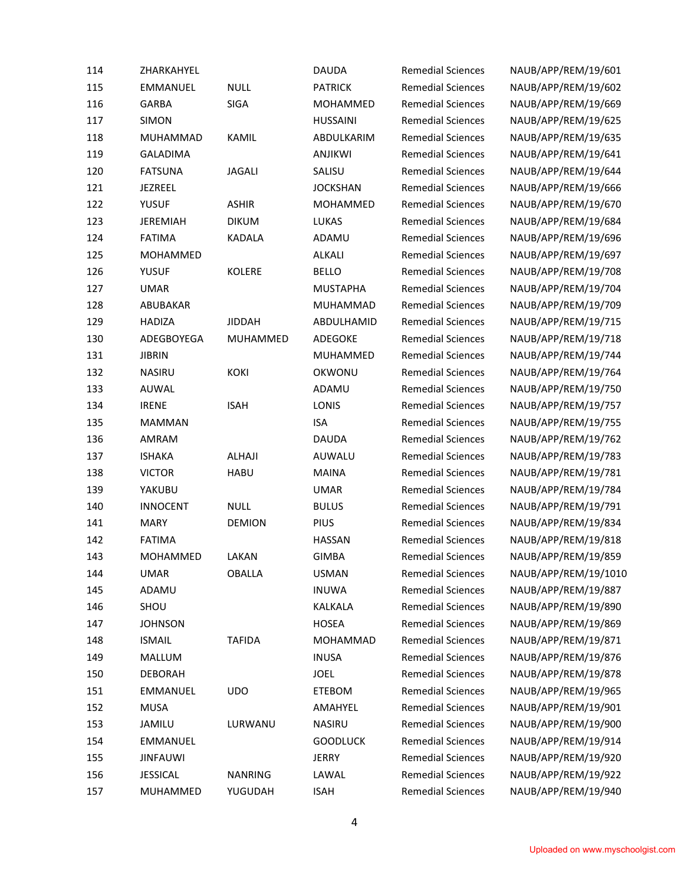| 114 | ZHARKAHYEL      |                | <b>DAUDA</b>    | <b>Remedial Sciences</b> | NAUB/APP/REM/19/601  |
|-----|-----------------|----------------|-----------------|--------------------------|----------------------|
| 115 | <b>EMMANUEL</b> | <b>NULL</b>    | <b>PATRICK</b>  | <b>Remedial Sciences</b> | NAUB/APP/REM/19/602  |
| 116 | GARBA           | SIGA           | MOHAMMED        | <b>Remedial Sciences</b> | NAUB/APP/REM/19/669  |
| 117 | <b>SIMON</b>    |                | <b>HUSSAINI</b> | <b>Remedial Sciences</b> | NAUB/APP/REM/19/625  |
| 118 | <b>MUHAMMAD</b> | KAMIL          | ABDULKARIM      | <b>Remedial Sciences</b> | NAUB/APP/REM/19/635  |
| 119 | <b>GALADIMA</b> |                | ANJIKWI         | <b>Remedial Sciences</b> | NAUB/APP/REM/19/641  |
| 120 | <b>FATSUNA</b>  | <b>JAGALI</b>  | SALISU          | <b>Remedial Sciences</b> | NAUB/APP/REM/19/644  |
| 121 | JEZREEL         |                | <b>JOCKSHAN</b> | <b>Remedial Sciences</b> | NAUB/APP/REM/19/666  |
| 122 | <b>YUSUF</b>    | <b>ASHIR</b>   | MOHAMMED        | <b>Remedial Sciences</b> | NAUB/APP/REM/19/670  |
| 123 | <b>JEREMIAH</b> | <b>DIKUM</b>   | <b>LUKAS</b>    | <b>Remedial Sciences</b> | NAUB/APP/REM/19/684  |
| 124 | <b>FATIMA</b>   | KADALA         | ADAMU           | <b>Remedial Sciences</b> | NAUB/APP/REM/19/696  |
| 125 | MOHAMMED        |                | ALKALI          | <b>Remedial Sciences</b> | NAUB/APP/REM/19/697  |
| 126 | <b>YUSUF</b>    | KOLERE         | <b>BELLO</b>    | <b>Remedial Sciences</b> | NAUB/APP/REM/19/708  |
| 127 | <b>UMAR</b>     |                | <b>MUSTAPHA</b> | <b>Remedial Sciences</b> | NAUB/APP/REM/19/704  |
| 128 | ABUBAKAR        |                | MUHAMMAD        | <b>Remedial Sciences</b> | NAUB/APP/REM/19/709  |
| 129 | <b>HADIZA</b>   | <b>JIDDAH</b>  | ABDULHAMID      | <b>Remedial Sciences</b> | NAUB/APP/REM/19/715  |
| 130 | ADEGBOYEGA      | MUHAMMED       | ADEGOKE         | <b>Remedial Sciences</b> | NAUB/APP/REM/19/718  |
| 131 | <b>JIBRIN</b>   |                | MUHAMMED        | <b>Remedial Sciences</b> | NAUB/APP/REM/19/744  |
| 132 | <b>NASIRU</b>   | KOKI           | OKWONU          | <b>Remedial Sciences</b> | NAUB/APP/REM/19/764  |
| 133 | AUWAL           |                | ADAMU           | <b>Remedial Sciences</b> | NAUB/APP/REM/19/750  |
| 134 | <b>IRENE</b>    | <b>ISAH</b>    | LONIS           | <b>Remedial Sciences</b> | NAUB/APP/REM/19/757  |
| 135 | <b>MAMMAN</b>   |                | <b>ISA</b>      | <b>Remedial Sciences</b> | NAUB/APP/REM/19/755  |
| 136 | AMRAM           |                | <b>DAUDA</b>    | <b>Remedial Sciences</b> | NAUB/APP/REM/19/762  |
| 137 | <b>ISHAKA</b>   | ALHAJI         | AUWALU          | <b>Remedial Sciences</b> | NAUB/APP/REM/19/783  |
| 138 | <b>VICTOR</b>   | <b>HABU</b>    | <b>MAINA</b>    | <b>Remedial Sciences</b> | NAUB/APP/REM/19/781  |
| 139 | YAKUBU          |                | <b>UMAR</b>     | <b>Remedial Sciences</b> | NAUB/APP/REM/19/784  |
| 140 | <b>INNOCENT</b> | <b>NULL</b>    | <b>BULUS</b>    | <b>Remedial Sciences</b> | NAUB/APP/REM/19/791  |
| 141 | <b>MARY</b>     | <b>DEMION</b>  | PIUS            | <b>Remedial Sciences</b> | NAUB/APP/REM/19/834  |
| 142 | <b>FATIMA</b>   |                | <b>HASSAN</b>   | <b>Remedial Sciences</b> | NAUB/APP/REM/19/818  |
| 143 | MOHAMMED        | LAKAN          | <b>GIMBA</b>    | <b>Remedial Sciences</b> | NAUB/APP/REM/19/859  |
| 144 | <b>UMAR</b>     | <b>OBALLA</b>  | <b>USMAN</b>    | <b>Remedial Sciences</b> | NAUB/APP/REM/19/1010 |
| 145 | ADAMU           |                | <b>INUWA</b>    | <b>Remedial Sciences</b> | NAUB/APP/REM/19/887  |
| 146 | SHOU            |                | KALKALA         | <b>Remedial Sciences</b> | NAUB/APP/REM/19/890  |
| 147 | <b>JOHNSON</b>  |                | <b>HOSEA</b>    | <b>Remedial Sciences</b> | NAUB/APP/REM/19/869  |
| 148 | <b>ISMAIL</b>   | <b>TAFIDA</b>  | MOHAMMAD        | <b>Remedial Sciences</b> | NAUB/APP/REM/19/871  |
| 149 | MALLUM          |                | <b>INUSA</b>    | <b>Remedial Sciences</b> | NAUB/APP/REM/19/876  |
| 150 | <b>DEBORAH</b>  |                | <b>JOEL</b>     | <b>Remedial Sciences</b> | NAUB/APP/REM/19/878  |
| 151 | EMMANUEL        | <b>UDO</b>     | <b>ETEBOM</b>   | <b>Remedial Sciences</b> | NAUB/APP/REM/19/965  |
| 152 | MUSA            |                | AMAHYEL         | <b>Remedial Sciences</b> | NAUB/APP/REM/19/901  |
| 153 | JAMILU          | LURWANU        | NASIRU          | <b>Remedial Sciences</b> | NAUB/APP/REM/19/900  |
| 154 | EMMANUEL        |                | <b>GOODLUCK</b> | <b>Remedial Sciences</b> | NAUB/APP/REM/19/914  |
| 155 | <b>JINFAUWI</b> |                | <b>JERRY</b>    | <b>Remedial Sciences</b> | NAUB/APP/REM/19/920  |
| 156 | <b>JESSICAL</b> | <b>NANRING</b> | LAWAL           | <b>Remedial Sciences</b> | NAUB/APP/REM/19/922  |
| 157 | MUHAMMED        | YUGUDAH        | <b>ISAH</b>     | <b>Remedial Sciences</b> | NAUB/APP/REM/19/940  |